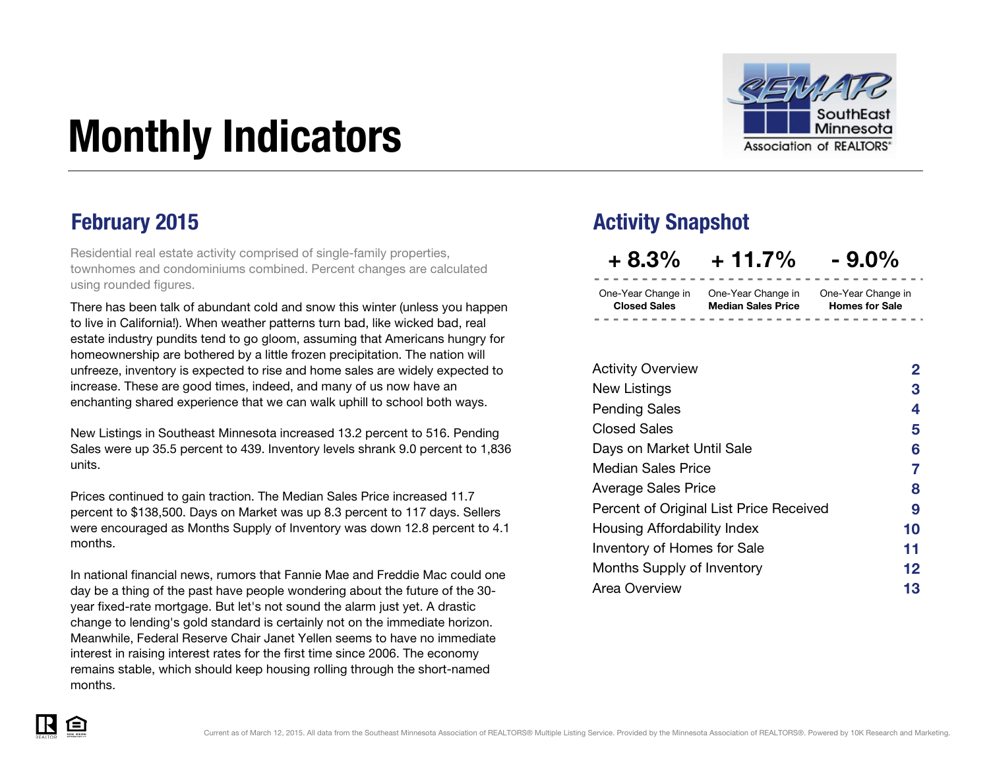

# Monthly Indicators

Residential real estate activity comprised of single-family properties, townhomes and condominiums combined. Percent changes are calculated using rounded figures.

There has been talk of abundant cold and snow this winter (unless you happen to live in California!). When weather patterns turn bad, like wicked bad, real estate industry pundits tend to go gloom, assuming that Americans hungry for homeownership are bothered by a little frozen precipitation. The nation will unfreeze, inventory is expected to rise and home sales are widely expected to increase. These are good times, indeed, and many of us now have an enchanting shared experience that we can walk uphill to school both ways.

New Listings in Southeast Minnesota increased 13.2 percent to 516. Pending Sales were up 35.5 percent to 439. Inventory levels shrank 9.0 percent to 1,836 units.

Prices continued to gain traction. The Median Sales Price increased 11.7 percent to \$138,500. Days on Market was up 8.3 percent to 117 days. Sellers were encouraged as Months Supply of Inventory was down 12.8 percent to 4.1 months.

In national financial news, rumors that Fannie Mae and Freddie Mac could one day be a thing of the past have people wondering about the future of the 30 year fixed-rate mortgage. But let's not sound the alarm just yet. A drastic change to lending's gold standard is certainly not on the immediate horizon. Meanwhile, Federal Reserve Chair Janet Yellen seems to have no immediate interest in raising interest rates for the first time since 2006. The economy remains stable, which should keep housing rolling through the short-named months.

### **February 2015 Activity Snapshot**

 $+8.3\% + 11.7\% - 9.0\%$ 

One-Year Change in One-Year Change in One-Year Change in Closed Sales Median Sales Price

Homes for Sale

| <b>Activity Overview</b>                | $\mathbf{2}$ |
|-----------------------------------------|--------------|
| <b>New Listings</b>                     | 3            |
| <b>Pending Sales</b>                    | 4            |
| <b>Closed Sales</b>                     | 5            |
| Days on Market Until Sale               | 6            |
| <b>Median Sales Price</b>               | 7            |
| <b>Average Sales Price</b>              | 8            |
| Percent of Original List Price Received | 9            |
| Housing Affordability Index             | 10           |
| Inventory of Homes for Sale             | 11           |
| Months Supply of Inventory              | 12           |
| Area Overview                           | 13           |

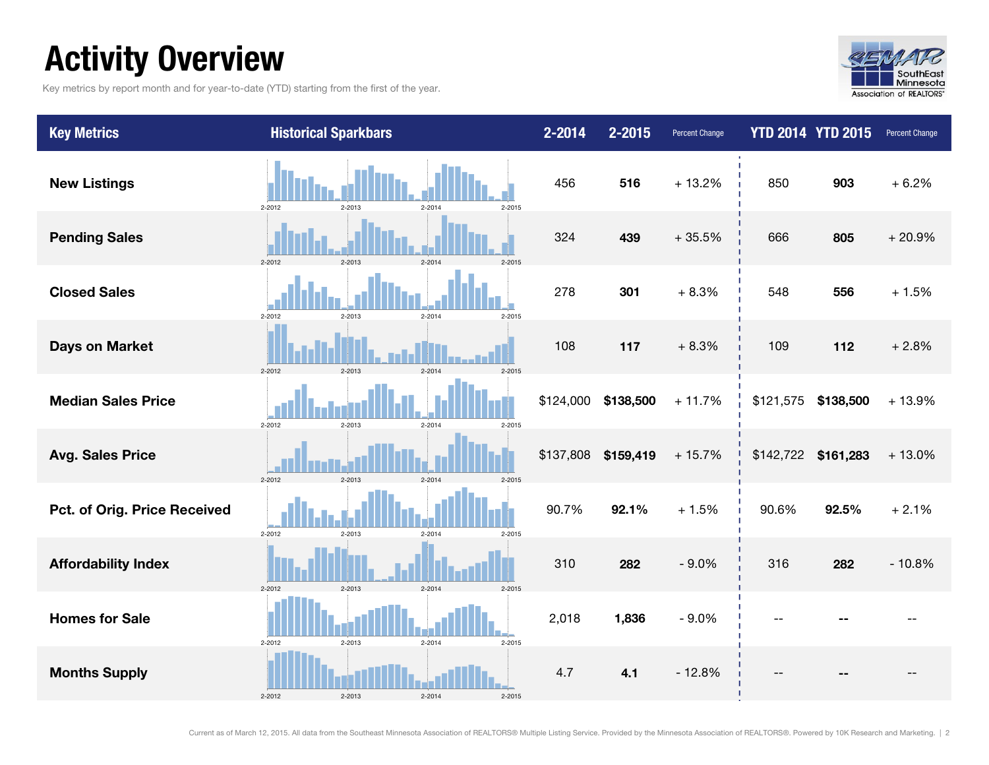### Activity Overview

Key metrics by report month and for year-to-date (YTD) starting from the first of the year.



| <b>Key Metrics</b>           | <b>Historical Sparkbars</b>                          | 2-2014    | 2-2015    | <b>Percent Change</b> |           | <b>YTD 2014 YTD 2015</b> | <b>Percent Change</b> |
|------------------------------|------------------------------------------------------|-----------|-----------|-----------------------|-----------|--------------------------|-----------------------|
| <b>New Listings</b>          | 2-2012<br>2-2013<br>2-2014<br>$2 - 2015$             | 456       | 516       | $+13.2%$              | 850       | 903                      | $+6.2%$               |
| <b>Pending Sales</b>         | $2 - 2012$<br>$2 - 2013$<br>$2-2014$<br>$2 - 2015$   | 324       | 439       | $+35.5%$              | 666       | 805                      | $+20.9%$              |
| <b>Closed Sales</b>          | $2 - 2012$<br>2-2013<br>$2 - 2015$<br>2-2014         | 278       | 301       | $+8.3%$               | 548       | 556                      | $+1.5%$               |
| <b>Days on Market</b>        | $2 - 2012$<br>$2 - 2013$<br>$2-2014$                 | 108       | 117       | $+8.3%$               | 109       | 112                      | $+2.8%$               |
| <b>Median Sales Price</b>    | $2 - 2012$<br>2-2013<br>$2 - 2014$<br>$2 - 2015$     | \$124,000 | \$138,500 | $+11.7%$              | \$121,575 | \$138,500                | $+13.9%$              |
| <b>Avg. Sales Price</b>      | $2 - 2012$<br>2-2013<br>$2 - 2014$<br>$2 - 2015$     | \$137,808 | \$159,419 | $+15.7%$              |           | \$142,722 \$161,283      | $+13.0%$              |
| Pct. of Orig. Price Received | 2-2012<br>2-2013<br>$2 - 2015$<br>$2 - 2014$         | 90.7%     | 92.1%     | $+1.5%$               | 90.6%     | 92.5%                    | $+2.1%$               |
| <b>Affordability Index</b>   | 2-2013<br>$2 - 2014$<br>$2 - 2012$<br>$2 - 2015$     | 310       | 282       | $-9.0%$               | 316       | 282                      | $-10.8%$              |
| <b>Homes for Sale</b>        | 2-2013<br>$2 - 2014$<br>$2 - 2015$<br>2-2012         | 2,018     | 1,836     | $-9.0%$               |           |                          |                       |
| <b>Months Supply</b>         | $2 - 2013$<br>$2 - 2012$<br>$2 - 2014$<br>$2 - 2015$ | 4.7       | 4.1       | $-12.8%$              |           |                          |                       |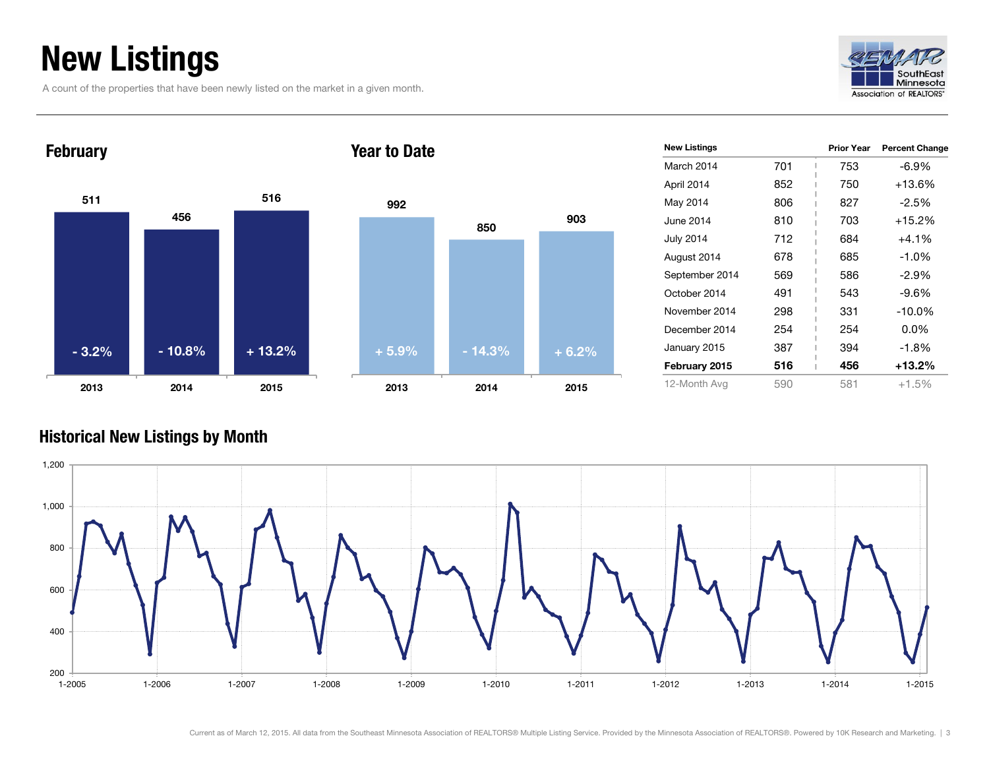### New Listings

A count of the properties that have been newly listed on the market in a given month.





| $+5.9%$ | $-14.3%$ | $+6.2%$ |
|---------|----------|---------|
|         |          |         |
|         |          |         |
|         |          |         |
| 992     | 850      | 903     |
|         |          |         |

| <b>New Listings</b> |     | <b>Prior Year</b> | <b>Percent Change</b> |
|---------------------|-----|-------------------|-----------------------|
| March 2014          | 701 | 753               | $-6.9\%$              |
| April 2014          | 852 | 750               | $+13.6%$              |
| May 2014            | 806 | 827               | $-2.5%$               |
| June 2014           | 810 | 703               | $+15.2%$              |
| <b>July 2014</b>    | 712 | 684               | $+4.1\%$              |
| August 2014         | 678 | 685               | $-1.0%$               |
| September 2014      | 569 | 586               | $-2.9%$               |
| October 2014        | 491 | 543               | $-9.6\%$              |
| November 2014       | 298 | 331               | $-10.0\%$             |
| December 2014       | 254 | 254               | 0.0%                  |
| January 2015        | 387 | 394               | $-1.8%$               |
| February 2015       | 516 | 456               | $+13.2%$              |
| 12-Month Avg        | 590 | 581               | $+1.5%$               |

#### Historical New Listings by Month

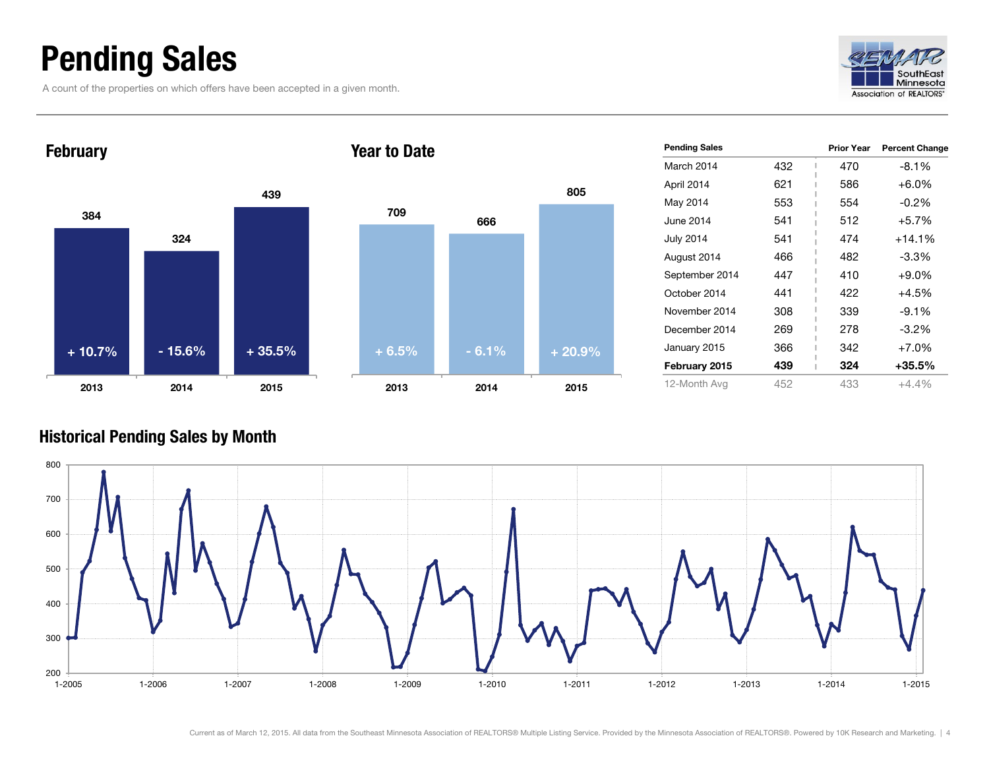### Pending Sales

A count of the properties on which offers have been accepted in a given month.





| <b>Pending Sales</b> |     | <b>Prior Year</b> | <b>Percent Change</b> |
|----------------------|-----|-------------------|-----------------------|
| March 2014           | 432 | 470               | $-8.1%$               |
| April 2014           | 621 | 586               | $+6.0\%$              |
| May 2014             | 553 | 554               | $-0.2\%$              |
| June 2014            | 541 | 512               | $+5.7%$               |
| <b>July 2014</b>     | 541 | 474               | $+14.1%$              |
| August 2014          | 466 | 482               | $-3.3\%$              |
| September 2014       | 447 | 410               | $+9.0%$               |
| October 2014         | 441 | 422               | $+4.5%$               |
| November 2014        | 308 | 339               | $-9.1%$               |
| December 2014        | 269 | 278               | $-3.2\%$              |
| January 2015         | 366 | 342               | $+7.0%$               |
| February 2015        | 439 | 324               | $+35.5%$              |
| 12-Month Avg         | 452 | 433               | $+4.4\%$              |

#### Historical Pending Sales by Month

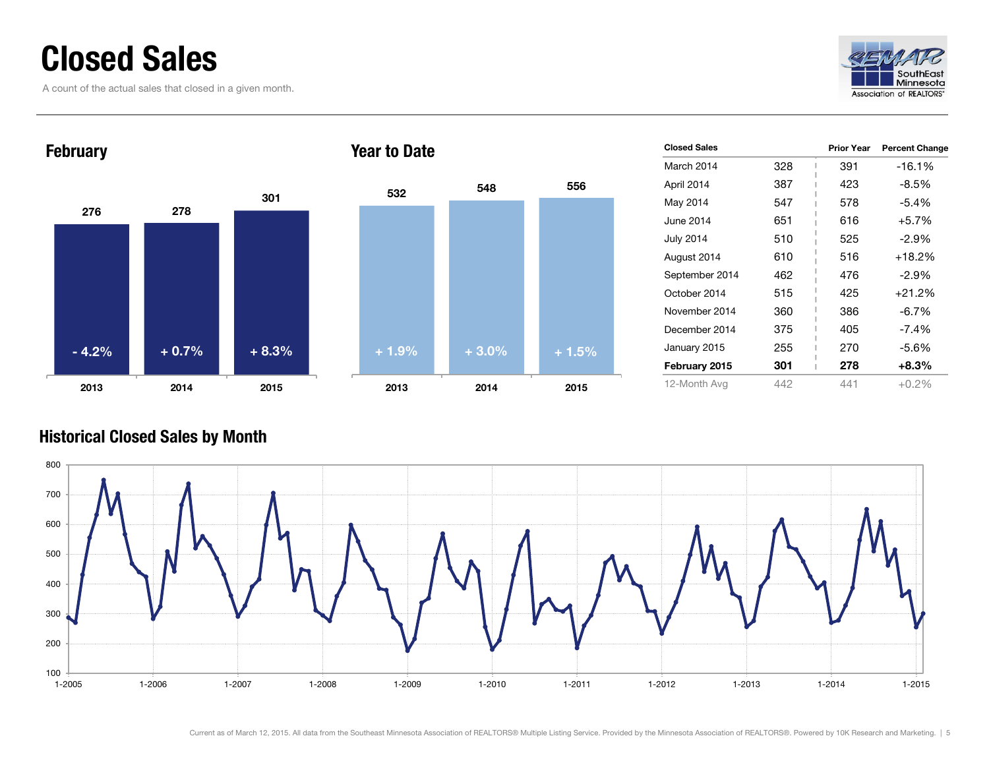### Closed Sales

A count of the actual sales that closed in a given month.





| <b>Closed Sales</b> |     | <b>Prior Year</b> | <b>Percent Change</b> |
|---------------------|-----|-------------------|-----------------------|
| March 2014          | 328 | 391               | -16.1%                |
| April 2014          | 387 | 423               | $-8.5\%$              |
| May 2014            | 547 | 578               | $-5.4%$               |
| June 2014           | 651 | 616               | $+5.7%$               |
| <b>July 2014</b>    | 510 | 525               | $-2.9%$               |
| August 2014         | 610 | 516               | $+18.2%$              |
| September 2014      | 462 | 476               | $-2.9\%$              |
| October 2014        | 515 | 425               | $+21.2%$              |
| November 2014       | 360 | 386               | $-6.7\%$              |
| December 2014       | 375 | 405               | $-7.4%$               |
| January 2015        | 255 | 270               | -5.6%                 |
| February 2015       | 301 | 278               | $+8.3%$               |
| 12-Month Avg        | 442 | 441               | $+0.2%$               |

#### Historical Closed Sales by Month

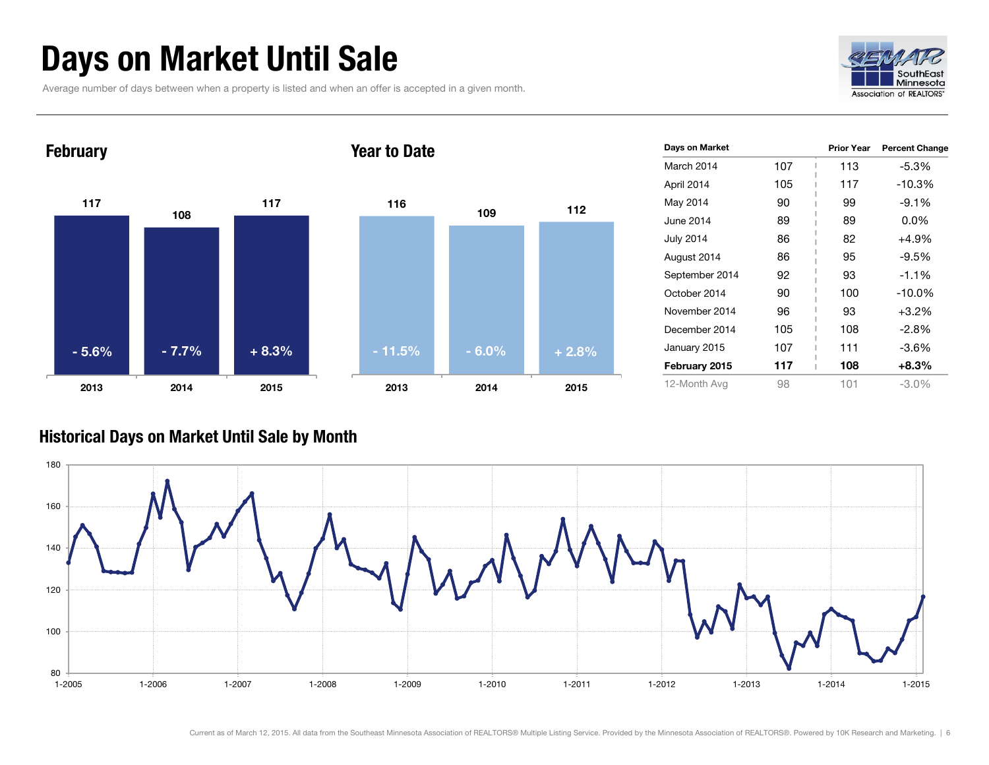### Days on Market Until Sale

Average number of days between when a property is listed and when an offer is accepted in a given month.





| Days on Market   |     | <b>Prior Year</b> | <b>Percent Change</b> |
|------------------|-----|-------------------|-----------------------|
| March 2014       | 107 | 113               | -5.3%                 |
| April 2014       | 105 | 117               | $-10.3%$              |
| May 2014         | 90  | 99                | $-9.1\%$              |
| June 2014        | 89  | 89                | $0.0\%$               |
| <b>July 2014</b> | 86  | 82                | +4.9%                 |
| August 2014      | 86  | 95                | $-9.5%$               |
| September 2014   | 92  | 93                | $-1.1%$               |
| October 2014     | 90  | 100               | $-10.0%$              |
| November 2014    | 96  | 93                | $+3.2%$               |
| December 2014    | 105 | 108               | -2.8%                 |
| January 2015     | 107 | 111               | -3.6%                 |
| February 2015    | 117 | 108               | $+8.3%$               |
| 12-Month Avg     | 98  | 101               | $-3.0\%$              |

#### Historical Days on Market Until Sale by Month

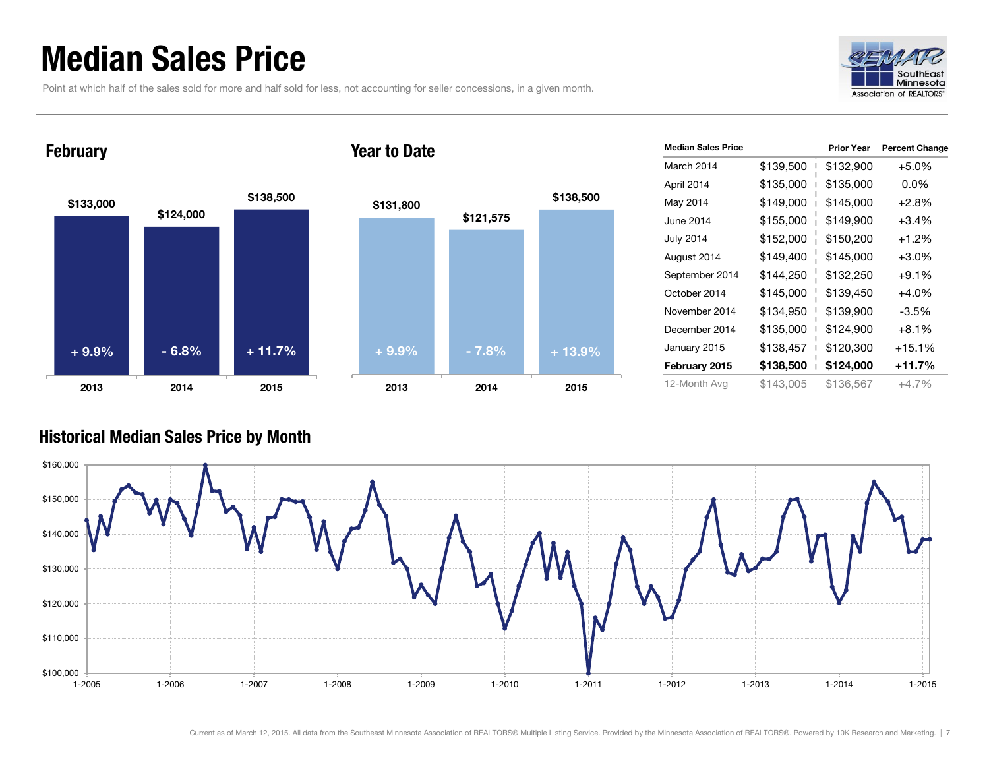### Median Sales Price

Point at which half of the sales sold for more and half sold for less, not accounting for seller concessions, in a given month.



#### February



#### Year to Date



| <b>Median Sales Price</b> |           | <b>Prior Year</b> | <b>Percent Change</b> |
|---------------------------|-----------|-------------------|-----------------------|
| March 2014                | \$139,500 | \$132,900         | $+5.0%$               |
| April 2014                | \$135,000 | \$135,000         | 0.0%                  |
| May 2014                  | \$149,000 | \$145,000         | $+2.8%$               |
| June 2014                 | \$155,000 | \$149,900         | $+3.4%$               |
| <b>July 2014</b>          | \$152,000 | \$150,200         | $+1.2%$               |
| August 2014               | \$149,400 | \$145,000         | $+3.0%$               |
| September 2014            | \$144,250 | \$132,250         | $+9.1%$               |
| October 2014              | \$145,000 | \$139,450         | $+4.0%$               |
| November 2014             | \$134,950 | \$139,900         | -3.5%                 |
| December 2014             | \$135,000 | \$124,900         | $+8.1%$               |
| January 2015              | \$138,457 | \$120,300         | $+15.1%$              |
| February 2015             | \$138,500 | \$124,000         | $+11.7%$              |
| 12-Month Avg              | \$143,005 | \$136,567         | +4.7%                 |

#### Historical Median Sales Price by Month

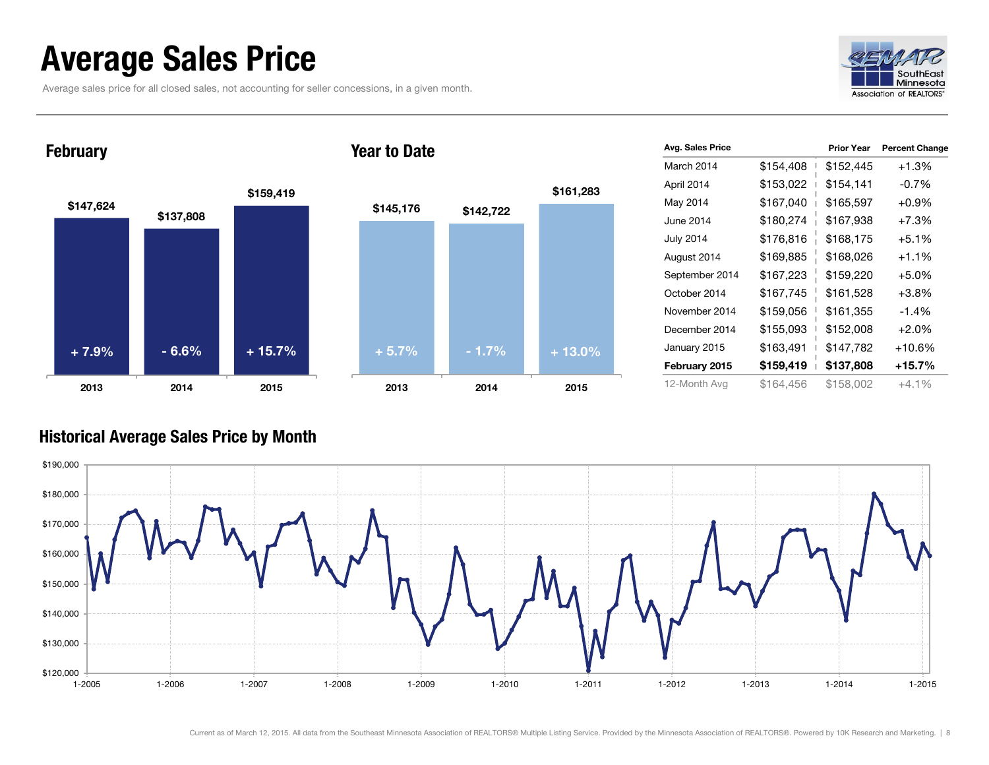### Average Sales Price

Average sales price for all closed sales, not accounting for seller concessions, in a given month.



**February** 



Year to Date



| <b>Avg. Sales Price</b> |           | <b>Prior Year</b> | <b>Percent Change</b> |
|-------------------------|-----------|-------------------|-----------------------|
| March 2014              | \$154,408 | \$152,445         | $+1.3%$               |
| April 2014              | \$153,022 | \$154,141         | $-0.7%$               |
| May 2014                | \$167,040 | \$165,597         | $+0.9%$               |
| June 2014               | \$180,274 | \$167,938         | $+7.3%$               |
| <b>July 2014</b>        | \$176,816 | \$168,175         | $+5.1%$               |
| August 2014             | \$169,885 | \$168,026         | $+1.1%$               |
| September 2014          | \$167,223 | \$159,220         | $+5.0%$               |
| October 2014            | \$167,745 | \$161,528         | $+3.8%$               |
| November 2014           | \$159,056 | \$161,355         | $-1.4%$               |
| December 2014           | \$155,093 | \$152,008         | $+2.0%$               |
| January 2015            | \$163,491 | \$147,782         | $+10.6%$              |
| February 2015           | \$159,419 | \$137,808         | +15.7%                |
| 12-Month Avg            | \$164,456 | \$158,002         | $+4.1\%$              |

#### Historical Average Sales Price by Month

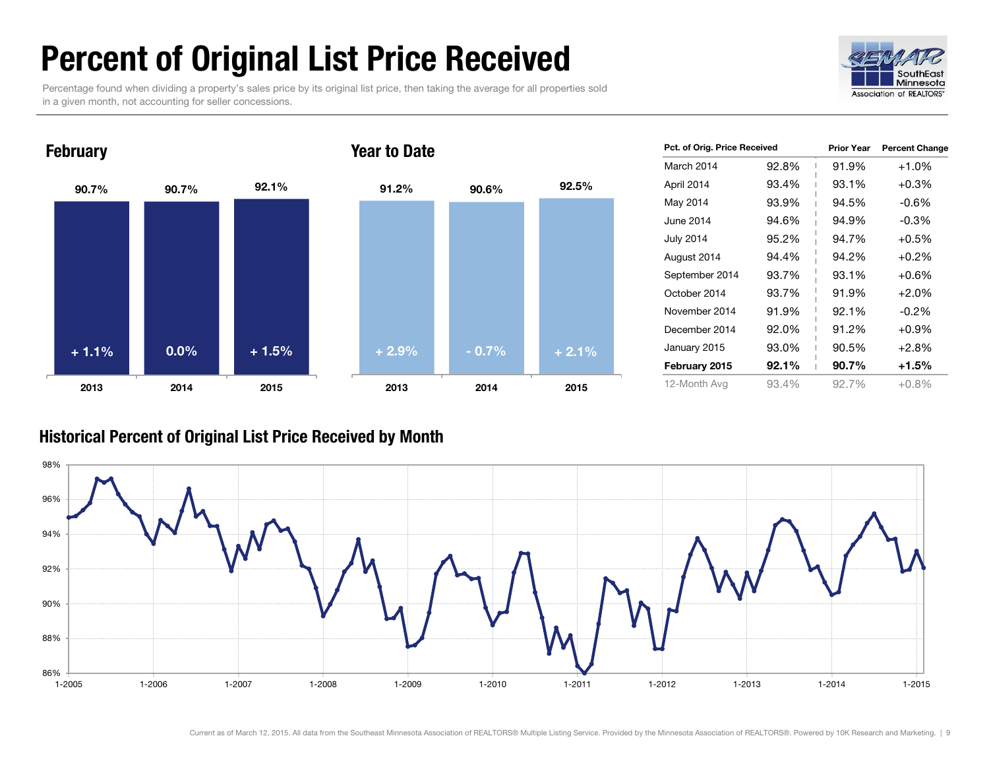### Percent of Original List Price Received

Percentage found when dividing a property's sales price by its original list price, then taking the average for all properties sold in a given month, not accounting for seller concessions.





| Pct. of Orig. Price Received |       | <b>Prior Year</b> | <b>Percent Change</b> |
|------------------------------|-------|-------------------|-----------------------|
| March 2014                   | 92.8% | 91.9%             | $+1.0%$               |
| April 2014                   | 93.4% | 93.1%             | $+0.3%$               |
| May 2014                     | 93.9% | 94.5%             | $-0.6\%$              |
| June 2014                    | 94.6% | 94.9%             | $-0.3\%$              |
| <b>July 2014</b>             | 95.2% | 94.7%             | $+0.5%$               |
| August 2014                  | 94.4% | 94.2%             | $+0.2%$               |
| September 2014               | 93.7% | 93.1%             | $+0.6%$               |
| October 2014                 | 93.7% | 91.9%             | $+2.0%$               |
| November 2014                | 91.9% | 92.1%             | $-0.2%$               |
| December 2014                | 92.0% | 91.2%             | $+0.9%$               |
| January 2015                 | 93.0% | 90.5%             | $+2.8%$               |
| February 2015                | 92.1% | 90.7%             | +1.5%                 |
| 12-Month Avg                 | 93.4% | 92.7%             | $+0.8%$               |

#### Historical Percent of Original List Price Received by Month

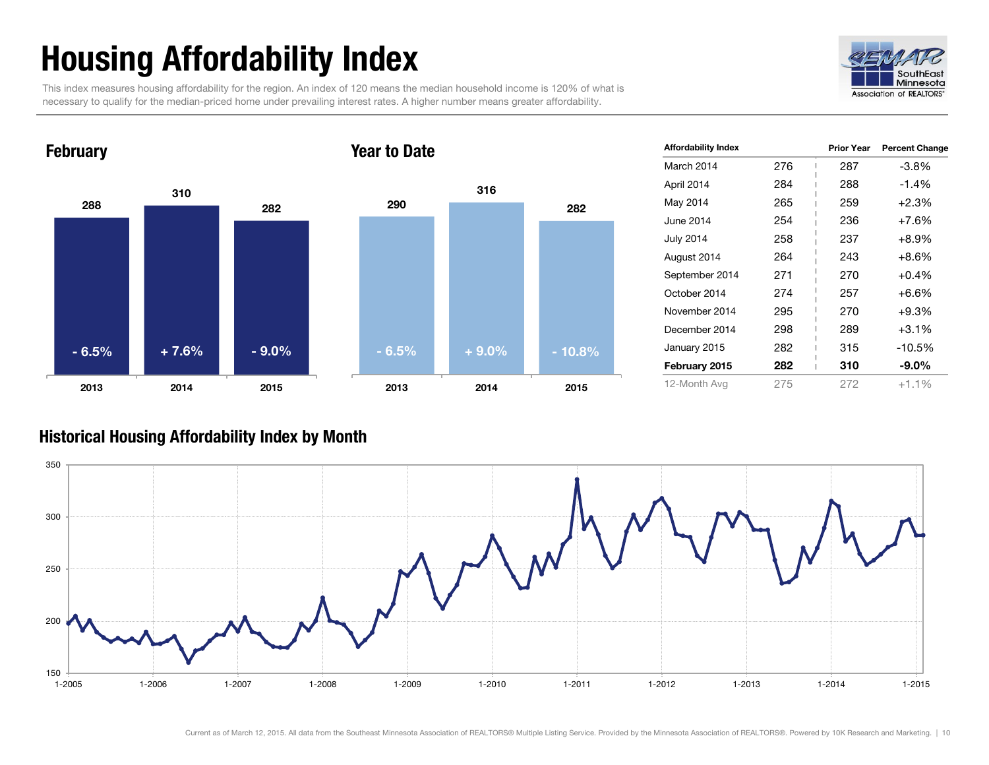## Housing Affordability Index

This index measures housing affordability for the region. An index of 120 means the median household income is 120% of what is necessary to qualify for the median-priced home under prevailing interest rates. A higher number means greater affordability.





| <b>Affordability Index</b> |     | <b>Prior Year</b> | <b>Percent Change</b> |
|----------------------------|-----|-------------------|-----------------------|
| March 2014                 | 276 | 287               | -3.8%                 |
| April 2014                 | 284 | 288               | $-1.4%$               |
| May 2014                   | 265 | 259               | $+2.3%$               |
| June 2014                  | 254 | 236               | $+7.6%$               |
| <b>July 2014</b>           | 258 | 237               | $+8.9\%$              |
| August 2014                | 264 | 243               | $+8.6\%$              |
| September 2014             | 271 | 270               | $+0.4%$               |
| October 2014               | 274 | 257               | $+6.6%$               |
| November 2014              | 295 | 270               | $+9.3%$               |
| December 2014              | 298 | 289               | $+3.1%$               |
| January 2015               | 282 | 315               | -10.5%                |
| February 2015              | 282 | 310               | $-9.0\%$              |
| 12-Month Avg               | 275 | 272               | $+1.1%$               |

#### Historical Housing Affordability Index by Month

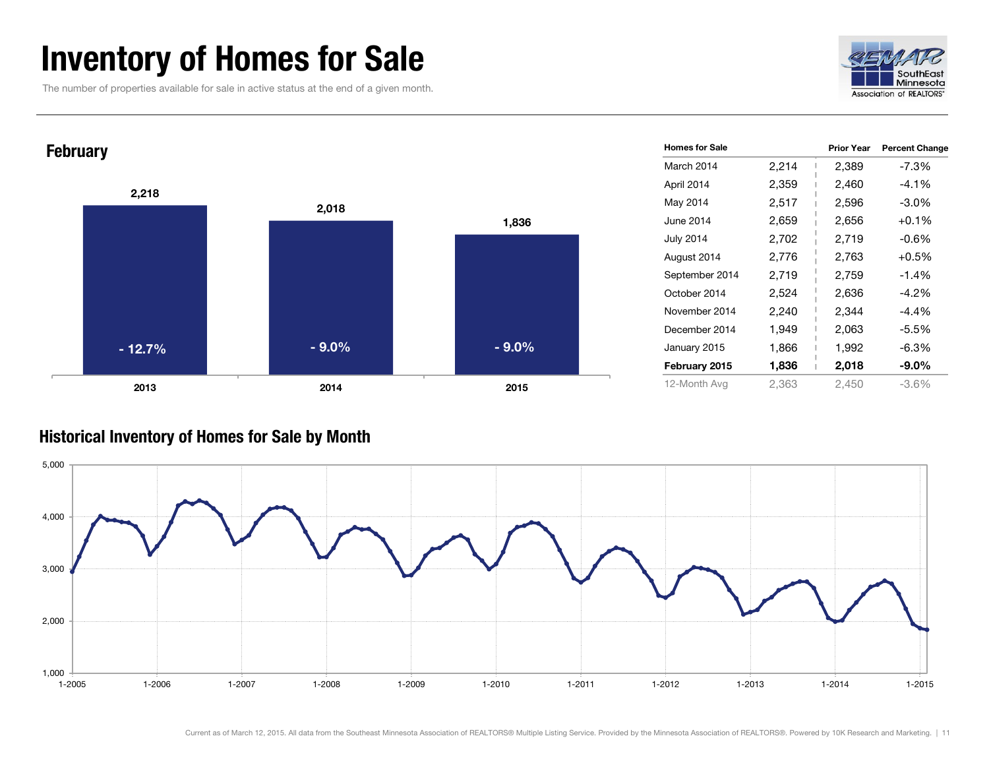### Inventory of Homes for Sale

The number of properties available for sale in active status at the end of a given month.





#### Historical Inventory of Homes for Sale by Month

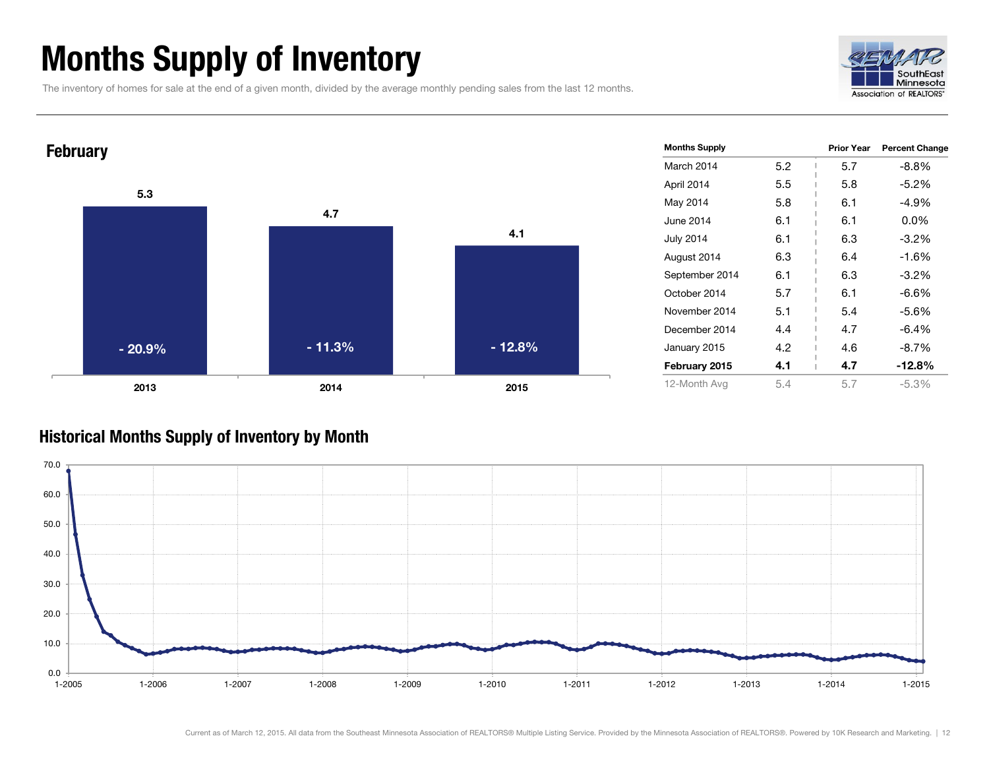### Months Supply of Inventory

The inventory of homes for sale at the end of a given month, divided by the average monthly pending sales from the last 12 months.





#### Historical Months Supply of Inventory by Month